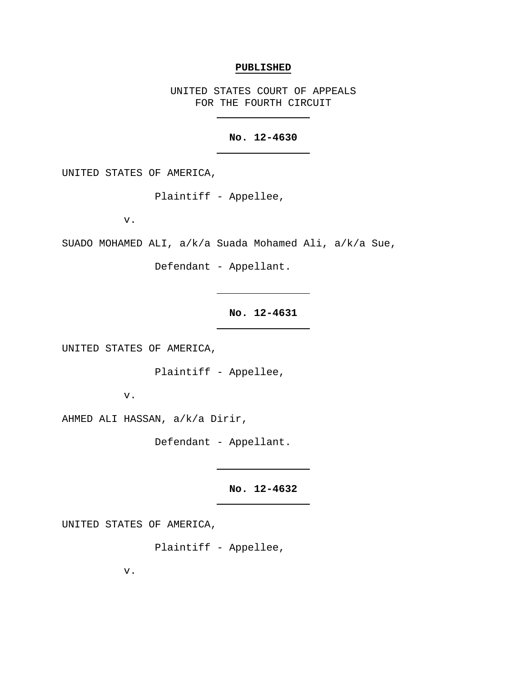#### **PUBLISHED**

UNITED STATES COURT OF APPEALS FOR THE FOURTH CIRCUIT

### **No. 12-4630**

UNITED STATES OF AMERICA,

Plaintiff - Appellee,

v.

SUADO MOHAMED ALI, a/k/a Suada Mohamed Ali, a/k/a Sue,

Defendant - Appellant.

**No. 12-4631**

UNITED STATES OF AMERICA,

Plaintiff - Appellee,

v.

AHMED ALI HASSAN, a/k/a Dirir,

Defendant - Appellant.

**No. 12-4632**

UNITED STATES OF AMERICA,

Plaintiff - Appellee,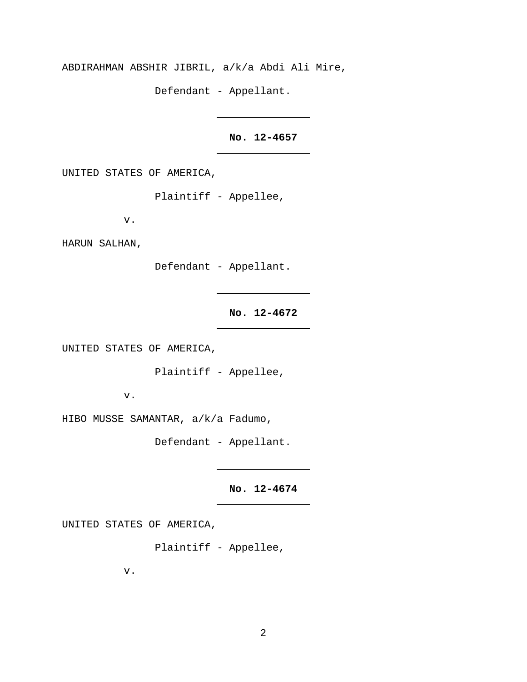ABDIRAHMAN ABSHIR JIBRIL, a/k/a Abdi Ali Mire,

Defendant - Appellant.

# **No. 12-4657**

UNITED STATES OF AMERICA,

Plaintiff - Appellee,

v.

HARUN SALHAN,

Defendant - Appellant.

## **No. 12-4672**

UNITED STATES OF AMERICA,

Plaintiff - Appellee,

v.

HIBO MUSSE SAMANTAR, a/k/a Fadumo,

Defendant - Appellant.

**No. 12-4674**

UNITED STATES OF AMERICA,

Plaintiff - Appellee,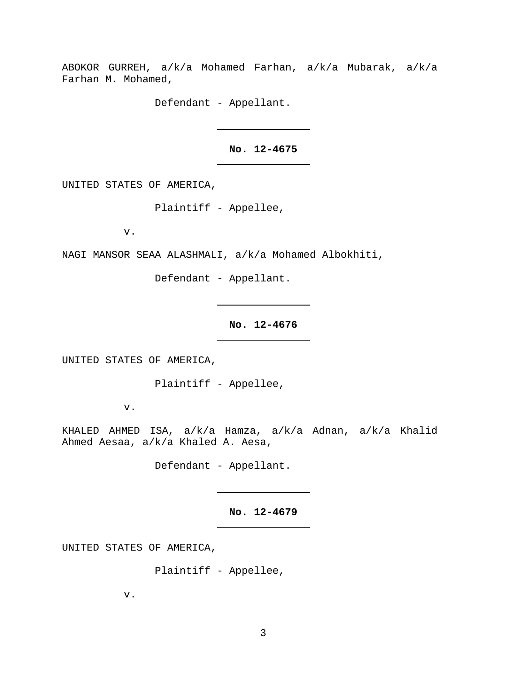ABOKOR GURREH, a/k/a Mohamed Farhan, a/k/a Mubarak, a/k/a Farhan M. Mohamed,

Defendant - Appellant.

**No. 12-4675**

UNITED STATES OF AMERICA,

Plaintiff - Appellee,

v.

NAGI MANSOR SEAA ALASHMALI, a/k/a Mohamed Albokhiti,

Defendant - Appellant.

**No. 12-4676**

UNITED STATES OF AMERICA,

Plaintiff - Appellee,

v.

KHALED AHMED ISA, a/k/a Hamza, a/k/a Adnan, a/k/a Khalid Ahmed Aesaa, a/k/a Khaled A. Aesa,

Defendant - Appellant.

**No. 12-4679**

UNITED STATES OF AMERICA,

Plaintiff - Appellee,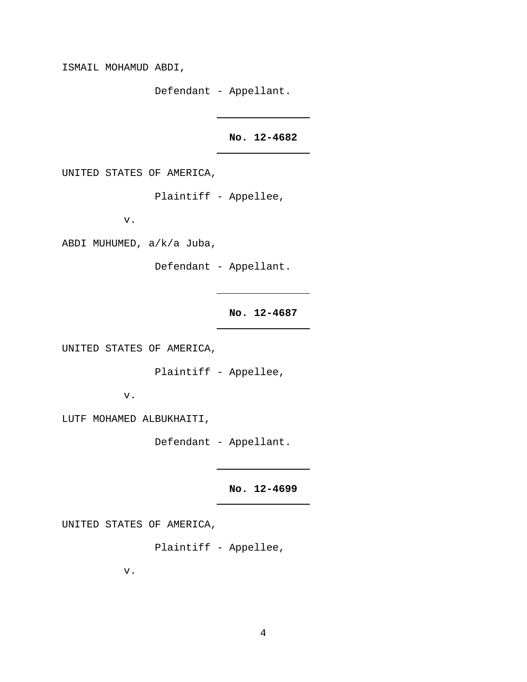ISMAIL MOHAMUD ABDI,

Defendant - Appellant.

## **No. 12-4682**

UNITED STATES OF AMERICA,

Plaintiff - Appellee,

v.

ABDI MUHUMED, a/k/a Juba,

Defendant - Appellant.

**No. 12-4687**

UNITED STATES OF AMERICA,

Plaintiff - Appellee,

v.

LUTF MOHAMED ALBUKHAITI,

Defendant - Appellant.

**No. 12-4699**

UNITED STATES OF AMERICA,

Plaintiff - Appellee,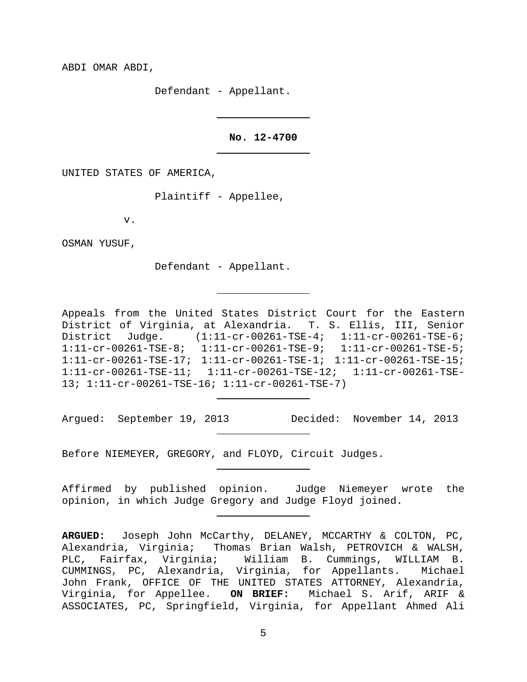ABDI OMAR ABDI,

Defendant - Appellant.

### **No. 12-4700**

UNITED STATES OF AMERICA,

Plaintiff - Appellee,

v.

OSMAN YUSUF,

Defendant - Appellant.

Appeals from the United States District Court for the Eastern District of Virginia, at Alexandria. T. S. Ellis, III, Senior District Judge. (1:11-cr-00261-TSE-4; 1:11-cr-00261-TSE-6; 1:11-cr-00261-TSE-8; 1:11-cr-00261-TSE-9; 1:11-cr-00261-TSE-5; 1:11-cr-00261-TSE-17; 1:11-cr-00261-TSE-1; 1:11-cr-00261-TSE-15; 1:11-cr-00261-TSE-11; 1:11-cr-00261-TSE-12; 1:11-cr-00261-TSE-13; 1:11-cr-00261-TSE-16; 1:11-cr-00261-TSE-7)

Argued: September 19, 2013 Decided: November 14, 2013

Before NIEMEYER, GREGORY, and FLOYD, Circuit Judges.

Affirmed by published opinion. Judge Niemeyer wrote the opinion, in which Judge Gregory and Judge Floyd joined.

**ARGUED:** Joseph John McCarthy, DELANEY, MCCARTHY & COLTON, PC, Alexandria, Virginia; Thomas Brian Walsh, PETROVICH & WALSH, PLC, Fairfax, Virginia; William B. Cummings, WILLIAM B. CUMMINGS, PC, Alexandria, Virginia, for Appellants. Michael John Frank, OFFICE OF THE UNITED STATES ATTORNEY, Alexandria, Virginia, for Appellee. **ON BRIEF:** Michael S. Arif, ARIF & ASSOCIATES, PC, Springfield, Virginia, for Appellant Ahmed Ali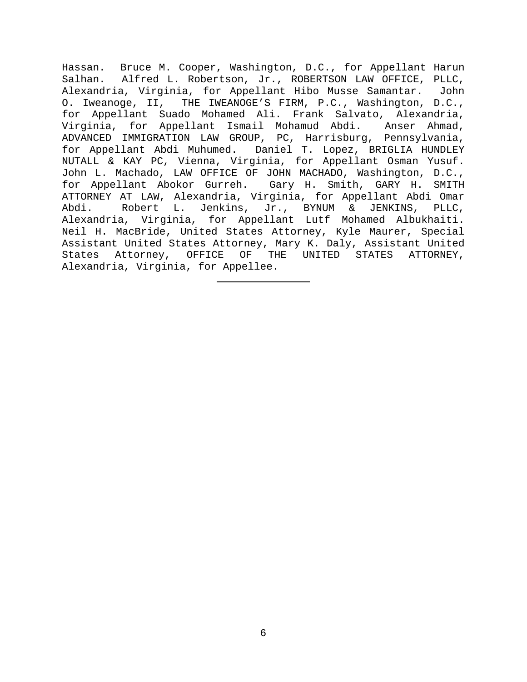Hassan. Bruce M. Cooper, Washington, D.C., for Appellant Harun Salhan. Alfred L. Robertson, Jr., ROBERTSON LAW OFFICE, PLLC, Alexandria, Virginia, for Appellant Hibo Musse Samantar. John O. Iweanoge, II, THE IWEANOGE'S FIRM, P.C., Washington, D.C., for Appellant Suado Mohamed Ali. Frank Salvato, Alexandria, Virginia, for Appellant Ismail Mohamud Abdi. Anser Ahmad, ADVANCED IMMIGRATION LAW GROUP, PC, Harrisburg, Pennsylvania, for Appellant Abdi Muhumed. Daniel T. Lopez, BRIGLIA HUNDLEY NUTALL & KAY PC, Vienna, Virginia, for Appellant Osman Yusuf. John L. Machado, LAW OFFICE OF JOHN MACHADO, Washington, D.C., for Appellant Abokor Gurreh. Gary H. Smith, GARY H. SMITH ATTORNEY AT LAW, Alexandria, Virginia, for Appellant Abdi Omar<br>Abdi. Robert L. Jenkins, Jr., BYNUM & JENKINS, PLLC, Robert L. Jenkins, Jr., BYNUM & JENKINS, Alexandria, Virginia, for Appellant Lutf Mohamed Albukhaiti. Neil H. MacBride, United States Attorney, Kyle Maurer, Special Assistant United States Attorney, Mary K. Daly, Assistant United States Attorney, OFFICE OF THE UNITED STATES ATTORNEY, Alexandria, Virginia, for Appellee.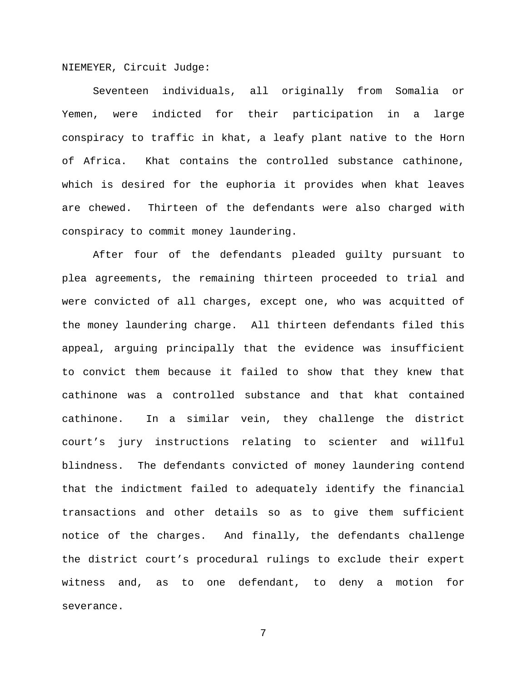NIEMEYER, Circuit Judge:

Seventeen individuals, all originally from Somalia or Yemen, were indicted for their participation in a large conspiracy to traffic in khat, a leafy plant native to the Horn of Africa. Khat contains the controlled substance cathinone, which is desired for the euphoria it provides when khat leaves are chewed. Thirteen of the defendants were also charged with conspiracy to commit money laundering.

After four of the defendants pleaded guilty pursuant to plea agreements, the remaining thirteen proceeded to trial and were convicted of all charges, except one, who was acquitted of the money laundering charge. All thirteen defendants filed this appeal, arguing principally that the evidence was insufficient to convict them because it failed to show that they knew that cathinone was a controlled substance and that khat contained cathinone. In a similar vein, they challenge the district court's jury instructions relating to scienter and willful blindness. The defendants convicted of money laundering contend that the indictment failed to adequately identify the financial transactions and other details so as to give them sufficient notice of the charges. And finally, the defendants challenge the district court's procedural rulings to exclude their expert witness and, as to one defendant, to deny a motion for severance.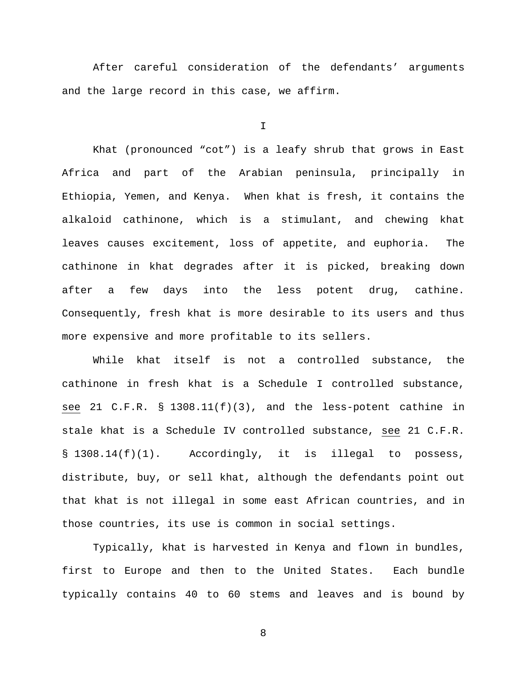After careful consideration of the defendants' arguments and the large record in this case, we affirm.

I

Khat (pronounced "cot") is a leafy shrub that grows in East Africa and part of the Arabian peninsula, principally in Ethiopia, Yemen, and Kenya. When khat is fresh, it contains the alkaloid cathinone, which is a stimulant, and chewing khat leaves causes excitement, loss of appetite, and euphoria. The cathinone in khat degrades after it is picked, breaking down after a few days into the less potent drug, cathine. Consequently, fresh khat is more desirable to its users and thus more expensive and more profitable to its sellers.

While khat itself is not a controlled substance, the cathinone in fresh khat is a Schedule I controlled substance, see 21 C.F.R. § 1308.11(f)(3), and the less-potent cathine in stale khat is a Schedule IV controlled substance, see 21 C.F.R. § 1308.14(f)(1). Accordingly, it is illegal to possess, distribute, buy, or sell khat, although the defendants point out that khat is not illegal in some east African countries, and in those countries, its use is common in social settings.

Typically, khat is harvested in Kenya and flown in bundles, first to Europe and then to the United States. Each bundle typically contains 40 to 60 stems and leaves and is bound by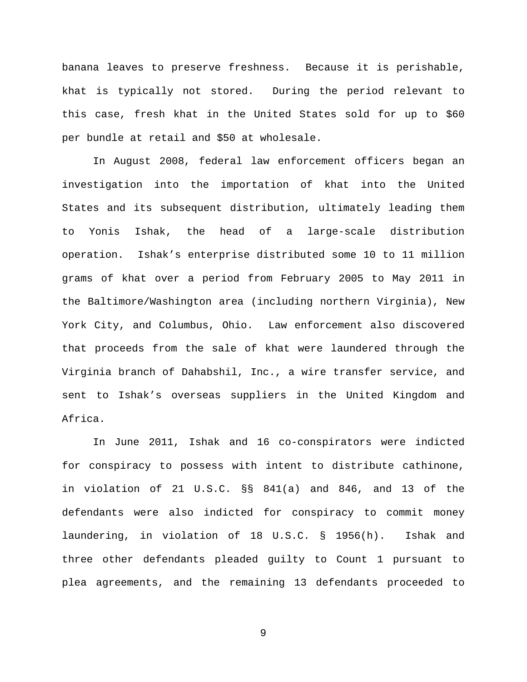banana leaves to preserve freshness. Because it is perishable, khat is typically not stored. During the period relevant to this case, fresh khat in the United States sold for up to \$60 per bundle at retail and \$50 at wholesale.

In August 2008, federal law enforcement officers began an investigation into the importation of khat into the United States and its subsequent distribution, ultimately leading them to Yonis Ishak, the head of a large-scale distribution operation. Ishak's enterprise distributed some 10 to 11 million grams of khat over a period from February 2005 to May 2011 in the Baltimore/Washington area (including northern Virginia), New York City, and Columbus, Ohio. Law enforcement also discovered that proceeds from the sale of khat were laundered through the Virginia branch of Dahabshil, Inc., a wire transfer service, and sent to Ishak's overseas suppliers in the United Kingdom and Africa.

In June 2011, Ishak and 16 co-conspirators were indicted for conspiracy to possess with intent to distribute cathinone, in violation of 21 U.S.C. §§ 841(a) and 846, and 13 of the defendants were also indicted for conspiracy to commit money laundering, in violation of 18 U.S.C. § 1956(h). Ishak and three other defendants pleaded guilty to Count 1 pursuant to plea agreements, and the remaining 13 defendants proceeded to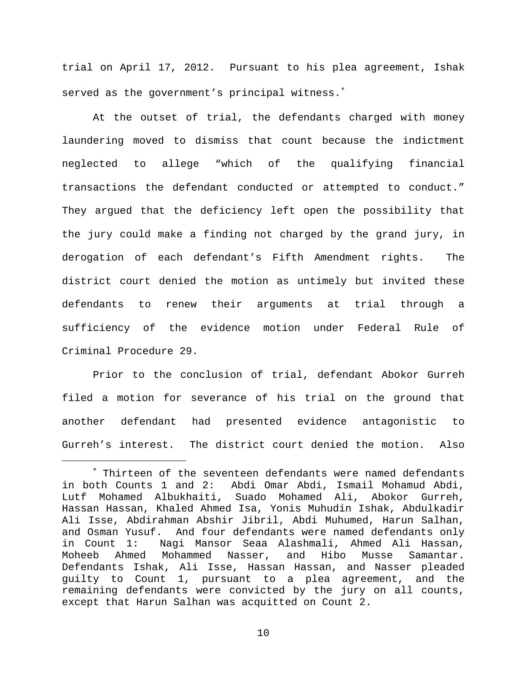trial on April 17, 2012. Pursuant to his plea agreement, Ishak served as the government's principal witness.<sup>\*</sup>

At the outset of trial, the defendants charged with money laundering moved to dismiss that count because the indictment neglected to allege "which of the qualifying financial transactions the defendant conducted or attempted to conduct." They argued that the deficiency left open the possibility that the jury could make a finding not charged by the grand jury, in derogation of each defendant's Fifth Amendment rights. The district court denied the motion as untimely but invited these defendants to renew their arguments at trial through a sufficiency of the evidence motion under Federal Rule of Criminal Procedure 29.

Prior to the conclusion of trial, defendant Abokor Gurreh filed a motion for severance of his trial on the ground that another defendant had presented evidence antagonistic to Gurreh's interest. The district court denied the motion. Also

<span id="page-9-0"></span><sup>∗</sup> Thirteen of the seventeen defendants were named defendants in both Counts 1 and 2: Abdi Omar Abdi, Ismail Mohamud Abdi, Lutf Mohamed Albukhaiti, Suado Mohamed Ali, Abokor Gurreh, Hassan Hassan, Khaled Ahmed Isa, Yonis Muhudin Ishak, Abdulkadir Ali Isse, Abdirahman Abshir Jibril, Abdi Muhumed, Harun Salhan, and Osman Yusuf. And four defendants were named defendants only<br>in Count 1: Naqi Mansor Seaa Alashmali, Ahmed Ali Hassan, in Count 1: Nagi Mansor Seaa Alashmali, Ahmed Ali Hassan, Mohammed Nasser, and Hibo Musse Samantar. Defendants Ishak, Ali Isse, Hassan Hassan, and Nasser pleaded guilty to Count 1, pursuant to a plea agreement, and the remaining defendants were convicted by the jury on all counts, except that Harun Salhan was acquitted on Count 2.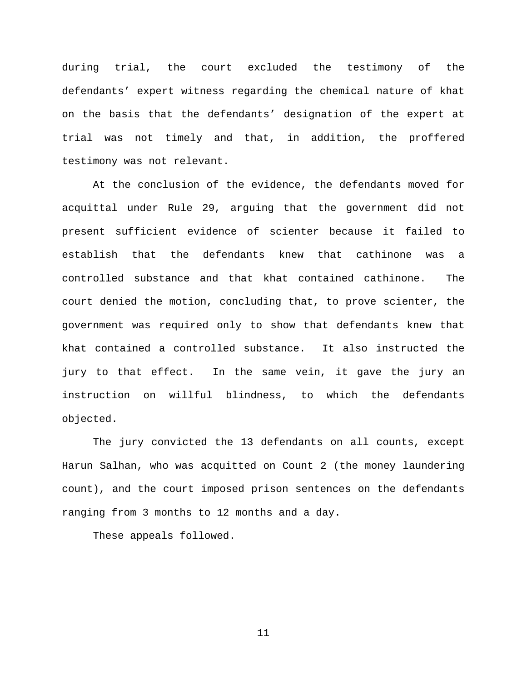during trial, the court excluded the testimony of the defendants' expert witness regarding the chemical nature of khat on the basis that the defendants' designation of the expert at trial was not timely and that, in addition, the proffered testimony was not relevant.

At the conclusion of the evidence, the defendants moved for acquittal under Rule 29, arguing that the government did not present sufficient evidence of scienter because it failed to establish that the defendants knew that cathinone was a controlled substance and that khat contained cathinone. The court denied the motion, concluding that, to prove scienter, the government was required only to show that defendants knew that khat contained a controlled substance. It also instructed the jury to that effect. In the same vein, it gave the jury an instruction on willful blindness, to which the defendants objected.

The jury convicted the 13 defendants on all counts, except Harun Salhan, who was acquitted on Count 2 (the money laundering count), and the court imposed prison sentences on the defendants ranging from 3 months to 12 months and a day.

These appeals followed.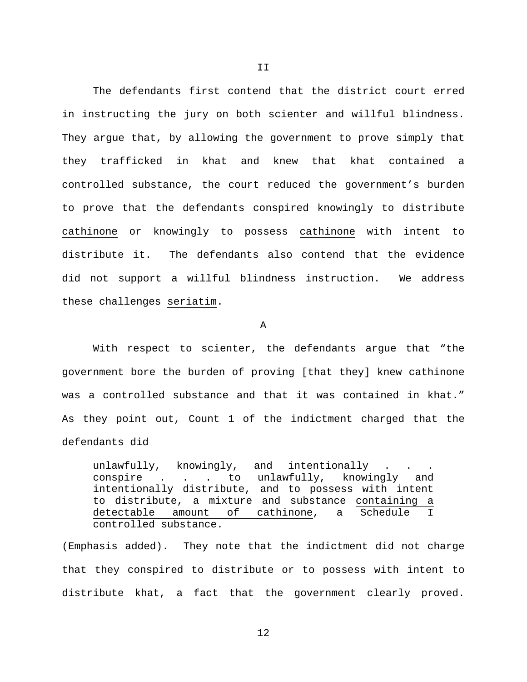The defendants first contend that the district court erred in instructing the jury on both scienter and willful blindness. They argue that, by allowing the government to prove simply that they trafficked in khat and knew that khat contained a controlled substance, the court reduced the government's burden to prove that the defendants conspired knowingly to distribute cathinone or knowingly to possess cathinone with intent to distribute it. The defendants also contend that the evidence did not support a willful blindness instruction. We address these challenges seriatim.

A

With respect to scienter, the defendants argue that "the government bore the burden of proving [that they] knew cathinone was a controlled substance and that it was contained in khat." As they point out, Count 1 of the indictment charged that the defendants did

unlawfully, knowingly, and intentionally . conspire . . . to unlawfully, knowingly and intentionally distribute, and to possess with intent to distribute, a mixture and substance containing a detectable amount of cathinone, a Schedule I controlled substance.

(Emphasis added). They note that the indictment did not charge that they conspired to distribute or to possess with intent to distribute khat, a fact that the government clearly proved.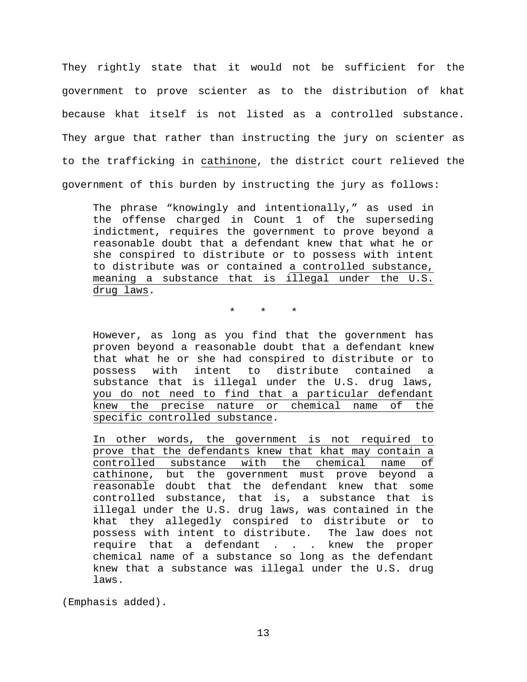They rightly state that it would not be sufficient for the government to prove scienter as to the distribution of khat because khat itself is not listed as a controlled substance. They argue that rather than instructing the jury on scienter as to the trafficking in cathinone, the district court relieved the government of this burden by instructing the jury as follows:

The phrase "knowingly and intentionally," as used in the offense charged in Count 1 of the superseding indictment, requires the government to prove beyond a reasonable doubt that a defendant knew that what he or she conspired to distribute or to possess with intent to distribute was or contained a controlled substance, meaning a substance that is illegal under the U.S. drug laws.

\* \* \*

However, as long as you find that the government has proven beyond a reasonable doubt that a defendant knew that what he or she had conspired to distribute or to possess with intent to distribute contained a substance that is illegal under the U.S. drug laws, you do not need to find that a particular defendant knew the precise nature or chemical name of the specific controlled substance.

In other words, the government is not required to prove that the defendants knew that khat may contain a controlled substance with the chemical name of cathinone, but the government must prove beyond a reasonable doubt that the defendant knew that some controlled substance, that is, a substance that is illegal under the U.S. drug laws, was contained in the khat they allegedly conspired to distribute or to possess with intent to distribute. The law does not require that a defendant . . . knew the proper chemical name of a substance so long as the defendant knew that a substance was illegal under the U.S. drug laws.

(Emphasis added).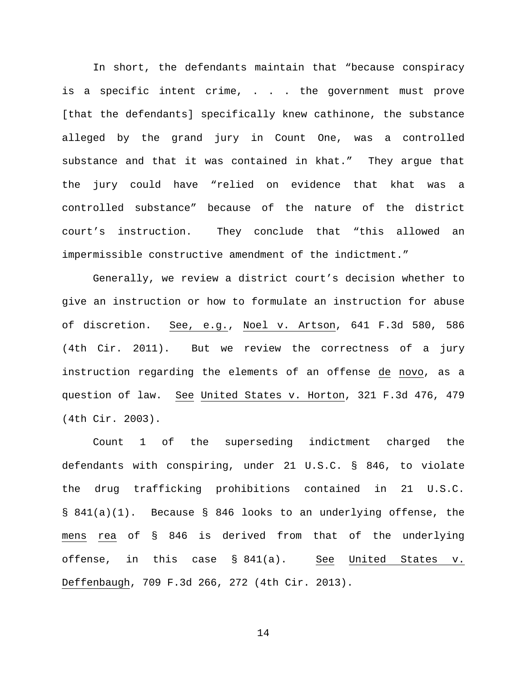In short, the defendants maintain that "because conspiracy is a specific intent crime, . . . the government must prove [that the defendants] specifically knew cathinone, the substance alleged by the grand jury in Count One, was a controlled substance and that it was contained in khat." They argue that the jury could have "relied on evidence that khat was a controlled substance" because of the nature of the district court's instruction. They conclude that "this allowed an impermissible constructive amendment of the indictment."

Generally, we review a district court's decision whether to give an instruction or how to formulate an instruction for abuse of discretion. See, e.g., Noel v. Artson, 641 F.3d 580, 586 (4th Cir. 2011). But we review the correctness of a jury instruction regarding the elements of an offense de novo, as a question of law. See United States v. Horton, 321 F.3d 476, 479 (4th Cir. 2003).

Count 1 of the superseding indictment charged the defendants with conspiring, under 21 U.S.C. § 846, to violate the drug trafficking prohibitions contained in 21 U.S.C. § 841(a)(1). Because § 846 looks to an underlying offense, the mens rea of § 846 is derived from that of the underlying offense, in this case § 841(a). See United States v. Deffenbaugh, 709 F.3d 266, 272 (4th Cir. 2013).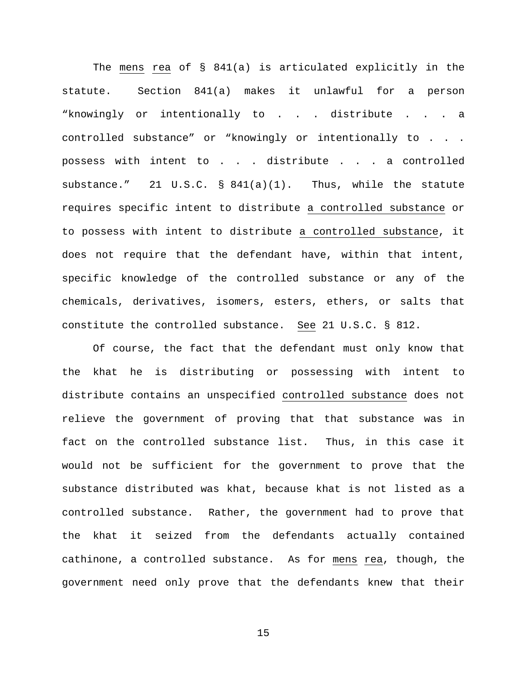The mens rea of § 841(a) is articulated explicitly in the statute. Section 841(a) makes it unlawful for a person "knowingly or intentionally to . . . distribute . . . a controlled substance" or "knowingly or intentionally to . . . possess with intent to . . . distribute . . . a controlled substance." 21 U.S.C. § 841(a)(1). Thus, while the statute requires specific intent to distribute a controlled substance or to possess with intent to distribute a controlled substance, it does not require that the defendant have, within that intent, specific knowledge of the controlled substance or any of the chemicals, derivatives, isomers, esters, ethers, or salts that constitute the controlled substance. See 21 U.S.C. § 812.

Of course, the fact that the defendant must only know that the khat he is distributing or possessing with intent to distribute contains an unspecified controlled substance does not relieve the government of proving that that substance was in fact on the controlled substance list. Thus, in this case it would not be sufficient for the government to prove that the substance distributed was khat, because khat is not listed as a controlled substance. Rather, the government had to prove that the khat it seized from the defendants actually contained cathinone, a controlled substance. As for mens rea, though, the government need only prove that the defendants knew that their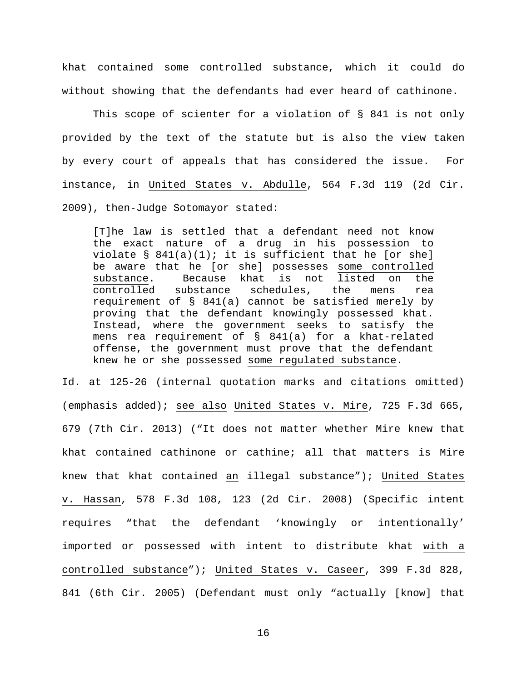khat contained some controlled substance, which it could do without showing that the defendants had ever heard of cathinone.

This scope of scienter for a violation of § 841 is not only provided by the text of the statute but is also the view taken by every court of appeals that has considered the issue. For instance, in United States v. Abdulle, 564 F.3d 119 (2d Cir. 2009), then-Judge Sotomayor stated:

[T]he law is settled that a defendant need not know the exact nature of a drug in his possession to violate  $\S$  841(a)(1); it is sufficient that he [or she] be aware that he [or she] possesses some controlled<br>substance. Because khat is not listed on the substance. Because khat is not listed on<br>controlled substance schedules, the mens substance schedules, the mens rea requirement of § 841(a) cannot be satisfied merely by proving that the defendant knowingly possessed khat. Instead, where the government seeks to satisfy the mens rea requirement of § 841(a) for a khat-related offense, the government must prove that the defendant knew he or she possessed some regulated substance.

Id. at 125-26 (internal quotation marks and citations omitted) (emphasis added); see also United States v. Mire, 725 F.3d 665, 679 (7th Cir. 2013) ("It does not matter whether Mire knew that khat contained cathinone or cathine; all that matters is Mire knew that khat contained an illegal substance"); United States v. Hassan, 578 F.3d 108, 123 (2d Cir. 2008) (Specific intent requires "that the defendant 'knowingly or intentionally' imported or possessed with intent to distribute khat with a controlled substance"); United States v. Caseer, 399 F.3d 828, 841 (6th Cir. 2005) (Defendant must only "actually [know] that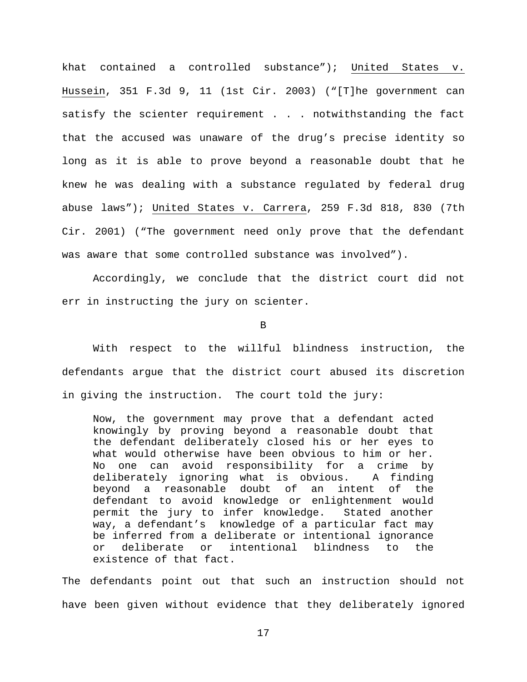khat contained a controlled substance"); United States v. Hussein, 351 F.3d 9, 11 (1st Cir. 2003) ("[T]he government can satisfy the scienter requirement . . . notwithstanding the fact that the accused was unaware of the drug's precise identity so long as it is able to prove beyond a reasonable doubt that he knew he was dealing with a substance regulated by federal drug abuse laws"); United States v. Carrera, 259 F.3d 818, 830 (7th Cir. 2001) ("The government need only prove that the defendant was aware that some controlled substance was involved").

Accordingly, we conclude that the district court did not err in instructing the jury on scienter.

B

With respect to the willful blindness instruction, the defendants argue that the district court abused its discretion in giving the instruction. The court told the jury:

Now, the government may prove that a defendant acted knowingly by proving beyond a reasonable doubt that the defendant deliberately closed his or her eyes to what would otherwise have been obvious to him or her. No one can avoid responsibility for a crime by<br>deliberately iqnoring what is obvious. A finding deliberately ignoring what is obvious. A fir<br>bevond a reasonable doubt of an intent of beyond a reasonable doubt of an intent of the defendant to avoid knowledge or enlightenment would permit the jury to infer knowledge. Stated another way, a defendant's knowledge of a particular fact may be inferred from a deliberate or intentional ignorance or deliberate or intentional blindness to the existence of that fact.

The defendants point out that such an instruction should not have been given without evidence that they deliberately ignored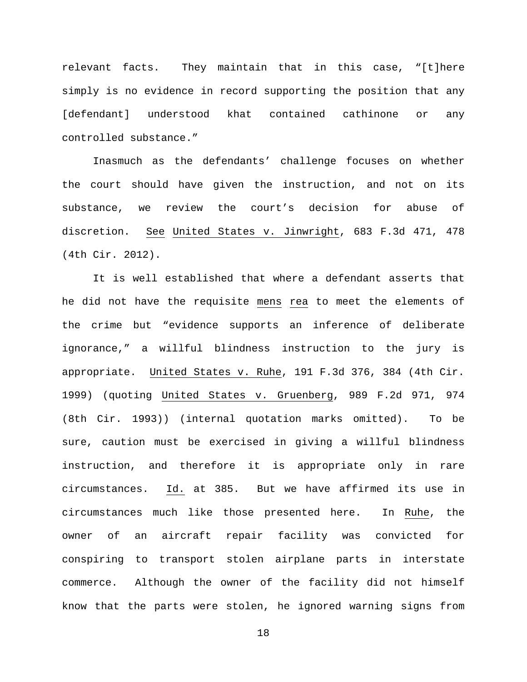relevant facts. They maintain that in this case, "[t]here simply is no evidence in record supporting the position that any [defendant] understood khat contained cathinone or any controlled substance."

Inasmuch as the defendants' challenge focuses on whether the court should have given the instruction, and not on its substance, we review the court's decision for abuse of discretion. See United States v. Jinwright, 683 F.3d 471, 478 (4th Cir. 2012).

It is well established that where a defendant asserts that he did not have the requisite mens rea to meet the elements of the crime but "evidence supports an inference of deliberate ignorance," a willful blindness instruction to the jury is appropriate. United States v. Ruhe, 191 F.3d 376, 384 (4th Cir. 1999) (quoting United States v. Gruenberg, 989 F.2d 971, 974 (8th Cir. 1993)) (internal quotation marks omitted). To be sure, caution must be exercised in giving a willful blindness instruction, and therefore it is appropriate only in rare circumstances. Id. at 385. But we have affirmed its use in circumstances much like those presented here. In Ruhe, the owner of an aircraft repair facility was convicted for conspiring to transport stolen airplane parts in interstate commerce. Although the owner of the facility did not himself know that the parts were stolen, he ignored warning signs from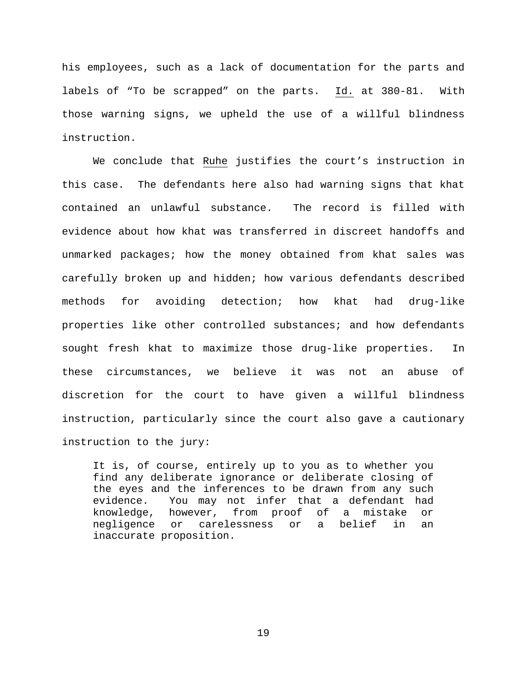his employees, such as a lack of documentation for the parts and labels of "To be scrapped" on the parts. Id. at 380-81. With those warning signs, we upheld the use of a willful blindness instruction.

We conclude that Ruhe justifies the court's instruction in this case. The defendants here also had warning signs that khat contained an unlawful substance. The record is filled with evidence about how khat was transferred in discreet handoffs and unmarked packages; how the money obtained from khat sales was carefully broken up and hidden; how various defendants described methods for avoiding detection; how khat had drug-like properties like other controlled substances; and how defendants sought fresh khat to maximize those drug-like properties. In these circumstances, we believe it was not an abuse of discretion for the court to have given a willful blindness instruction, particularly since the court also gave a cautionary instruction to the jury:

It is, of course, entirely up to you as to whether you find any deliberate ignorance or deliberate closing of the eyes and the inferences to be drawn from any such evidence. You may not infer that a defendant had knowledge, however, from proof of a mistake or negligence or carelessness or a belief in an inaccurate proposition.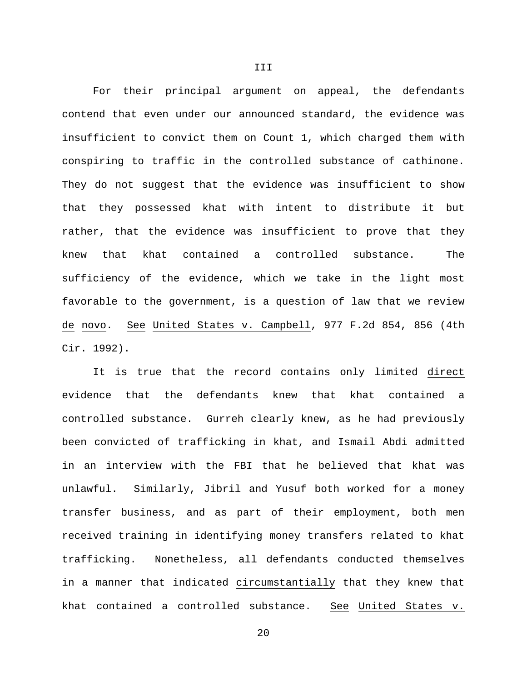For their principal argument on appeal, the defendants contend that even under our announced standard, the evidence was insufficient to convict them on Count 1, which charged them with conspiring to traffic in the controlled substance of cathinone. They do not suggest that the evidence was insufficient to show that they possessed khat with intent to distribute it but rather, that the evidence was insufficient to prove that they knew that khat contained a controlled substance. The sufficiency of the evidence, which we take in the light most favorable to the government, is a question of law that we review de novo. See United States v. Campbell, 977 F.2d 854, 856 (4th Cir. 1992).

It is true that the record contains only limited direct evidence that the defendants knew that khat contained a controlled substance. Gurreh clearly knew, as he had previously been convicted of trafficking in khat, and Ismail Abdi admitted in an interview with the FBI that he believed that khat was unlawful. Similarly, Jibril and Yusuf both worked for a money transfer business, and as part of their employment, both men received training in identifying money transfers related to khat trafficking. Nonetheless, all defendants conducted themselves in a manner that indicated circumstantially that they knew that khat contained a controlled substance. See United States v.

III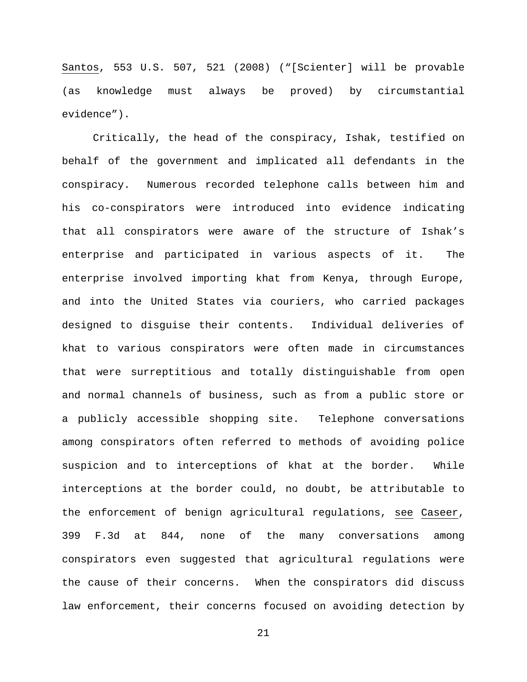Santos, 553 U.S. 507, 521 (2008) ("[Scienter] will be provable (as knowledge must always be proved) by circumstantial evidence").

Critically, the head of the conspiracy, Ishak, testified on behalf of the government and implicated all defendants in the conspiracy. Numerous recorded telephone calls between him and his co-conspirators were introduced into evidence indicating that all conspirators were aware of the structure of Ishak's enterprise and participated in various aspects of it. The enterprise involved importing khat from Kenya, through Europe, and into the United States via couriers, who carried packages designed to disguise their contents. Individual deliveries of khat to various conspirators were often made in circumstances that were surreptitious and totally distinguishable from open and normal channels of business, such as from a public store or a publicly accessible shopping site. Telephone conversations among conspirators often referred to methods of avoiding police suspicion and to interceptions of khat at the border. While interceptions at the border could, no doubt, be attributable to the enforcement of benign agricultural regulations, see Caseer, 399 F.3d at 844, none of the many conversations among conspirators even suggested that agricultural regulations were the cause of their concerns. When the conspirators did discuss law enforcement, their concerns focused on avoiding detection by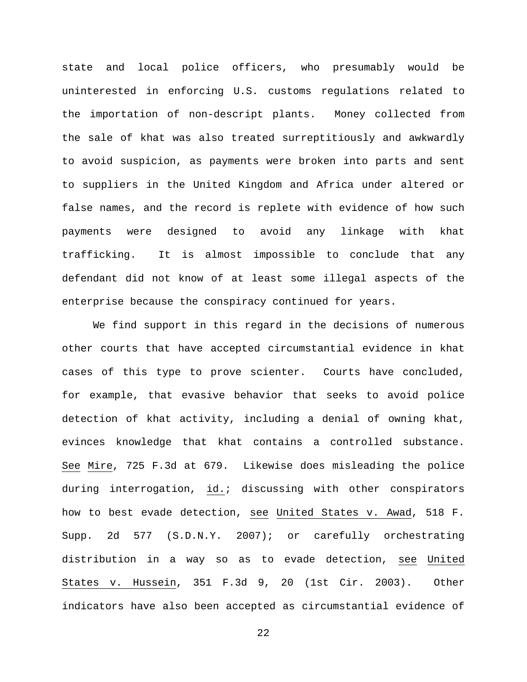state and local police officers, who presumably would be uninterested in enforcing U.S. customs regulations related to the importation of non-descript plants. Money collected from the sale of khat was also treated surreptitiously and awkwardly to avoid suspicion, as payments were broken into parts and sent to suppliers in the United Kingdom and Africa under altered or false names, and the record is replete with evidence of how such payments were designed to avoid any linkage with khat trafficking. It is almost impossible to conclude that any defendant did not know of at least some illegal aspects of the enterprise because the conspiracy continued for years.

We find support in this regard in the decisions of numerous other courts that have accepted circumstantial evidence in khat cases of this type to prove scienter. Courts have concluded, for example, that evasive behavior that seeks to avoid police detection of khat activity, including a denial of owning khat, evinces knowledge that khat contains a controlled substance. See Mire, 725 F.3d at 679. Likewise does misleading the police during interrogation, id.; discussing with other conspirators how to best evade detection, see United States v. Awad, 518 F. Supp. 2d 577 (S.D.N.Y. 2007); or carefully orchestrating distribution in a way so as to evade detection, see United States v. Hussein, 351 F.3d 9, 20 (1st Cir. 2003). Other indicators have also been accepted as circumstantial evidence of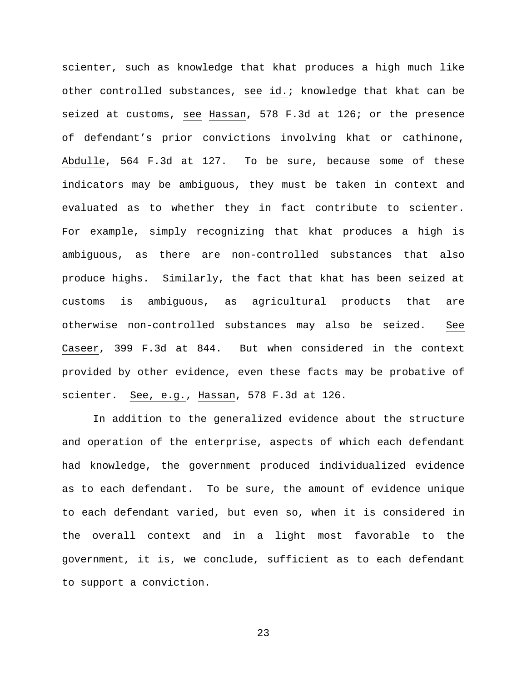scienter, such as knowledge that khat produces a high much like other controlled substances, see id.; knowledge that khat can be seized at customs, see Hassan, 578 F.3d at 126; or the presence of defendant's prior convictions involving khat or cathinone, Abdulle, 564 F.3d at 127. To be sure, because some of these indicators may be ambiguous, they must be taken in context and evaluated as to whether they in fact contribute to scienter. For example, simply recognizing that khat produces a high is ambiguous, as there are non-controlled substances that also produce highs. Similarly, the fact that khat has been seized at customs is ambiguous, as agricultural products that are otherwise non-controlled substances may also be seized. See Caseer, 399 F.3d at 844. But when considered in the context provided by other evidence, even these facts may be probative of scienter. See, e.g., Hassan, 578 F.3d at 126.

In addition to the generalized evidence about the structure and operation of the enterprise, aspects of which each defendant had knowledge, the government produced individualized evidence as to each defendant. To be sure, the amount of evidence unique to each defendant varied, but even so, when it is considered in the overall context and in a light most favorable to the government, it is, we conclude, sufficient as to each defendant to support a conviction.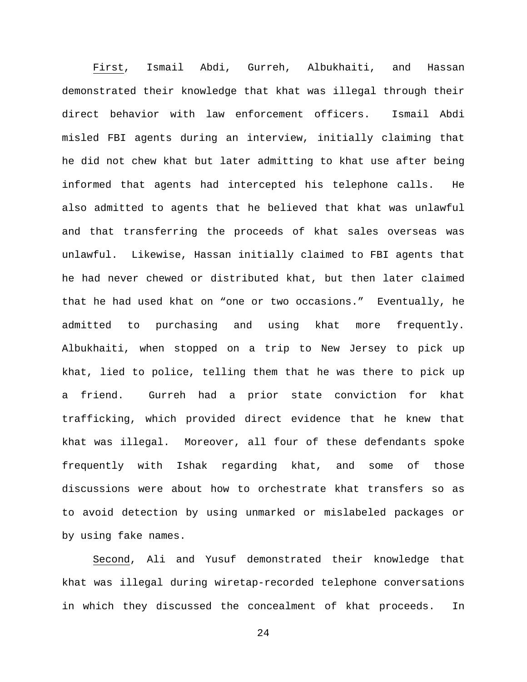First, Ismail Abdi, Gurreh, Albukhaiti, and Hassan demonstrated their knowledge that khat was illegal through their direct behavior with law enforcement officers. Ismail Abdi misled FBI agents during an interview, initially claiming that he did not chew khat but later admitting to khat use after being informed that agents had intercepted his telephone calls. He also admitted to agents that he believed that khat was unlawful and that transferring the proceeds of khat sales overseas was unlawful. Likewise, Hassan initially claimed to FBI agents that he had never chewed or distributed khat, but then later claimed that he had used khat on "one or two occasions." Eventually, he admitted to purchasing and using khat more frequently. Albukhaiti, when stopped on a trip to New Jersey to pick up khat, lied to police, telling them that he was there to pick up a friend. Gurreh had a prior state conviction for khat trafficking, which provided direct evidence that he knew that khat was illegal. Moreover, all four of these defendants spoke frequently with Ishak regarding khat, and some of those discussions were about how to orchestrate khat transfers so as to avoid detection by using unmarked or mislabeled packages or by using fake names.

Second, Ali and Yusuf demonstrated their knowledge that khat was illegal during wiretap-recorded telephone conversations in which they discussed the concealment of khat proceeds. In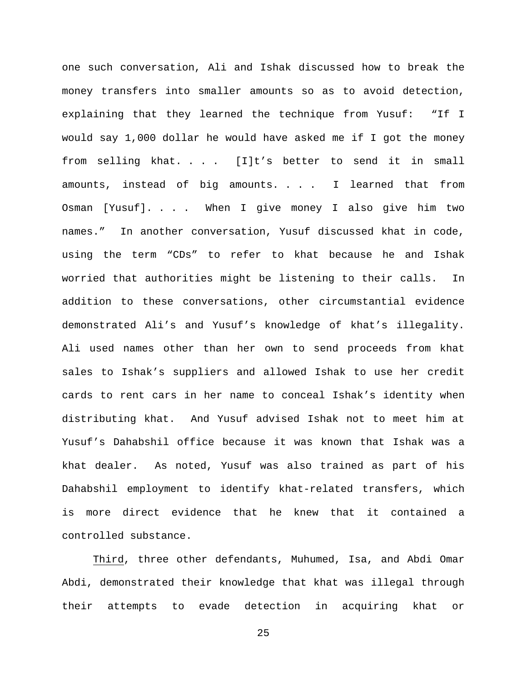one such conversation, Ali and Ishak discussed how to break the money transfers into smaller amounts so as to avoid detection, explaining that they learned the technique from Yusuf: "If I would say 1,000 dollar he would have asked me if I got the money from selling khat. . . . [I]t's better to send it in small amounts, instead of big amounts. . . . I learned that from Osman [Yusuf]. . . . When I give money I also give him two names." In another conversation, Yusuf discussed khat in code, using the term "CDs" to refer to khat because he and Ishak worried that authorities might be listening to their calls. In addition to these conversations, other circumstantial evidence demonstrated Ali's and Yusuf's knowledge of khat's illegality. Ali used names other than her own to send proceeds from khat sales to Ishak's suppliers and allowed Ishak to use her credit cards to rent cars in her name to conceal Ishak's identity when distributing khat. And Yusuf advised Ishak not to meet him at Yusuf's Dahabshil office because it was known that Ishak was a khat dealer. As noted, Yusuf was also trained as part of his Dahabshil employment to identify khat-related transfers, which is more direct evidence that he knew that it contained a controlled substance.

Third, three other defendants, Muhumed, Isa, and Abdi Omar Abdi, demonstrated their knowledge that khat was illegal through their attempts to evade detection in acquiring khat or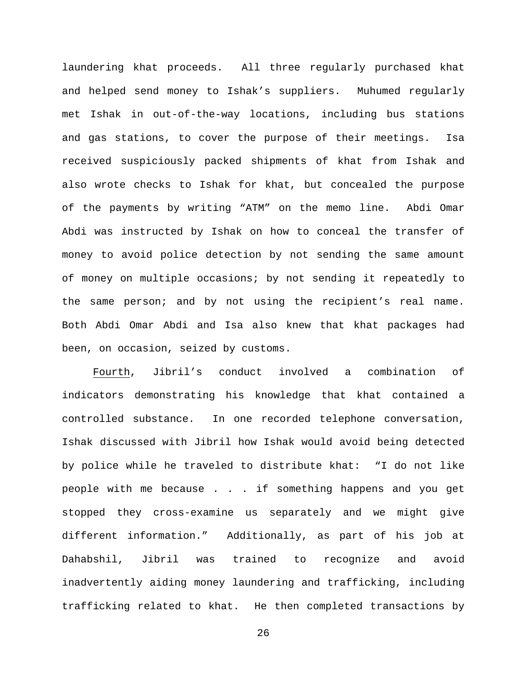laundering khat proceeds. All three regularly purchased khat and helped send money to Ishak's suppliers. Muhumed regularly met Ishak in out-of-the-way locations, including bus stations and gas stations, to cover the purpose of their meetings. Isa received suspiciously packed shipments of khat from Ishak and also wrote checks to Ishak for khat, but concealed the purpose of the payments by writing "ATM" on the memo line. Abdi Omar Abdi was instructed by Ishak on how to conceal the transfer of money to avoid police detection by not sending the same amount of money on multiple occasions; by not sending it repeatedly to the same person; and by not using the recipient's real name. Both Abdi Omar Abdi and Isa also knew that khat packages had been, on occasion, seized by customs.

Fourth, Jibril's conduct involved a combination of indicators demonstrating his knowledge that khat contained a controlled substance. In one recorded telephone conversation, Ishak discussed with Jibril how Ishak would avoid being detected by police while he traveled to distribute khat: "I do not like people with me because . . . if something happens and you get stopped they cross-examine us separately and we might give different information." Additionally, as part of his job at Dahabshil, Jibril was trained to recognize and avoid inadvertently aiding money laundering and trafficking, including trafficking related to khat. He then completed transactions by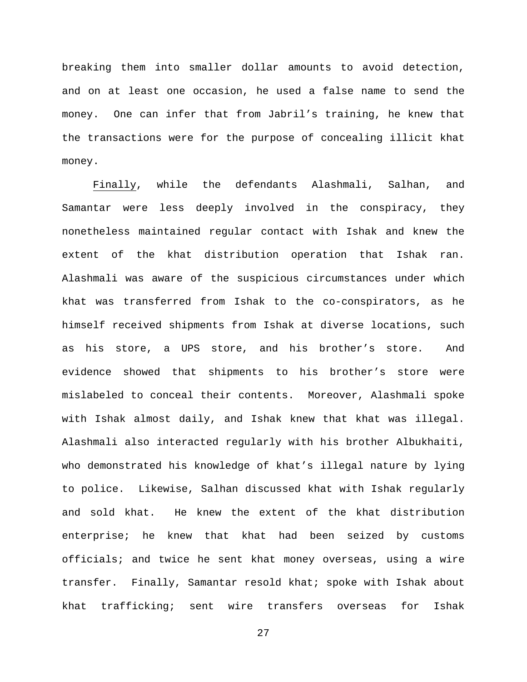breaking them into smaller dollar amounts to avoid detection, and on at least one occasion, he used a false name to send the money. One can infer that from Jabril's training, he knew that the transactions were for the purpose of concealing illicit khat money.

Finally, while the defendants Alashmali, Salhan, and Samantar were less deeply involved in the conspiracy, they nonetheless maintained regular contact with Ishak and knew the extent of the khat distribution operation that Ishak ran. Alashmali was aware of the suspicious circumstances under which khat was transferred from Ishak to the co-conspirators, as he himself received shipments from Ishak at diverse locations, such as his store, a UPS store, and his brother's store. And evidence showed that shipments to his brother's store were mislabeled to conceal their contents. Moreover, Alashmali spoke with Ishak almost daily, and Ishak knew that khat was illegal. Alashmali also interacted regularly with his brother Albukhaiti, who demonstrated his knowledge of khat's illegal nature by lying to police. Likewise, Salhan discussed khat with Ishak regularly and sold khat. He knew the extent of the khat distribution enterprise; he knew that khat had been seized by customs officials; and twice he sent khat money overseas, using a wire transfer. Finally, Samantar resold khat; spoke with Ishak about khat trafficking; sent wire transfers overseas for Ishak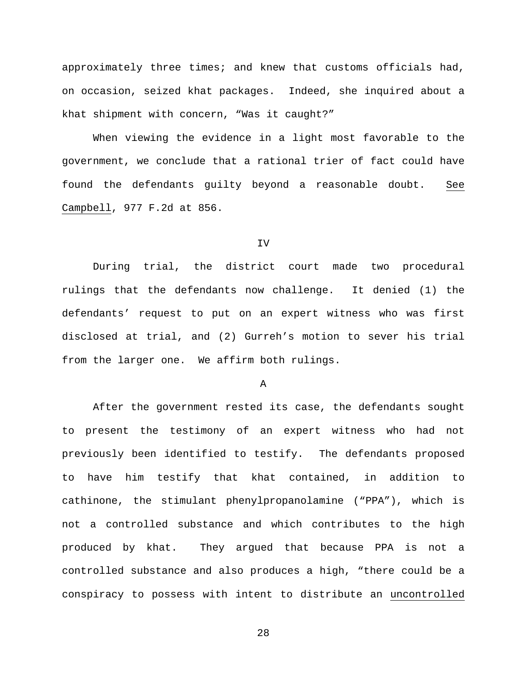approximately three times; and knew that customs officials had, on occasion, seized khat packages. Indeed, she inquired about a khat shipment with concern, "Was it caught?"

When viewing the evidence in a light most favorable to the government, we conclude that a rational trier of fact could have found the defendants guilty beyond a reasonable doubt. See Campbell, 977 F.2d at 856.

#### IV

During trial, the district court made two procedural rulings that the defendants now challenge. It denied (1) the defendants' request to put on an expert witness who was first disclosed at trial, and (2) Gurreh's motion to sever his trial from the larger one. We affirm both rulings.

A

After the government rested its case, the defendants sought to present the testimony of an expert witness who had not previously been identified to testify. The defendants proposed to have him testify that khat contained, in addition to cathinone, the stimulant phenylpropanolamine ("PPA"), which is not a controlled substance and which contributes to the high produced by khat. They argued that because PPA is not a controlled substance and also produces a high, "there could be a conspiracy to possess with intent to distribute an uncontrolled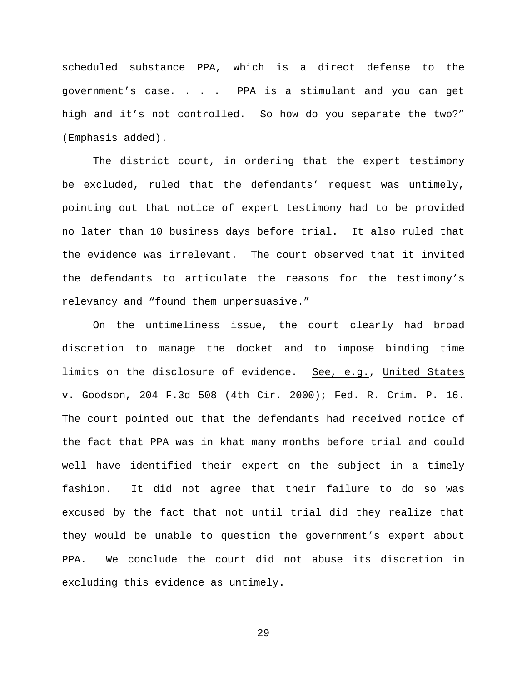scheduled substance PPA, which is a direct defense to the government's case. . . . PPA is a stimulant and you can get high and it's not controlled. So how do you separate the two?" (Emphasis added).

The district court, in ordering that the expert testimony be excluded, ruled that the defendants' request was untimely, pointing out that notice of expert testimony had to be provided no later than 10 business days before trial. It also ruled that the evidence was irrelevant. The court observed that it invited the defendants to articulate the reasons for the testimony's relevancy and "found them unpersuasive."

On the untimeliness issue, the court clearly had broad discretion to manage the docket and to impose binding time limits on the disclosure of evidence. See, e.g., United States v. Goodson, 204 F.3d 508 (4th Cir. 2000); Fed. R. Crim. P. 16. The court pointed out that the defendants had received notice of the fact that PPA was in khat many months before trial and could well have identified their expert on the subject in a timely fashion. It did not agree that their failure to do so was excused by the fact that not until trial did they realize that they would be unable to question the government's expert about PPA. We conclude the court did not abuse its discretion in excluding this evidence as untimely.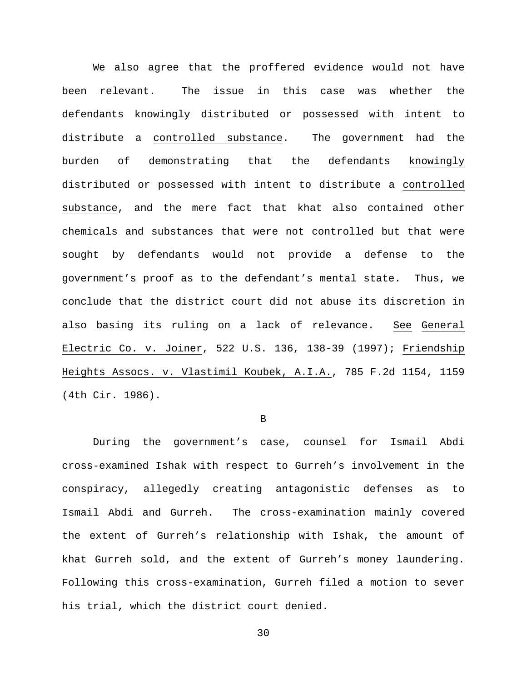We also agree that the proffered evidence would not have been relevant. The issue in this case was whether the defendants knowingly distributed or possessed with intent to distribute a controlled substance. The government had the burden of demonstrating that the defendants knowingly distributed or possessed with intent to distribute a controlled substance, and the mere fact that khat also contained other chemicals and substances that were not controlled but that were sought by defendants would not provide a defense to the government's proof as to the defendant's mental state. Thus, we conclude that the district court did not abuse its discretion in also basing its ruling on a lack of relevance. See General Electric Co. v. Joiner, 522 U.S. 136, 138-39 (1997); Friendship Heights Assocs. v. Vlastimil Koubek, A.I.A., 785 F.2d 1154, 1159 (4th Cir. 1986).

#### B

During the government's case, counsel for Ismail Abdi cross-examined Ishak with respect to Gurreh's involvement in the conspiracy, allegedly creating antagonistic defenses as to Ismail Abdi and Gurreh. The cross-examination mainly covered the extent of Gurreh's relationship with Ishak, the amount of khat Gurreh sold, and the extent of Gurreh's money laundering. Following this cross-examination, Gurreh filed a motion to sever his trial, which the district court denied.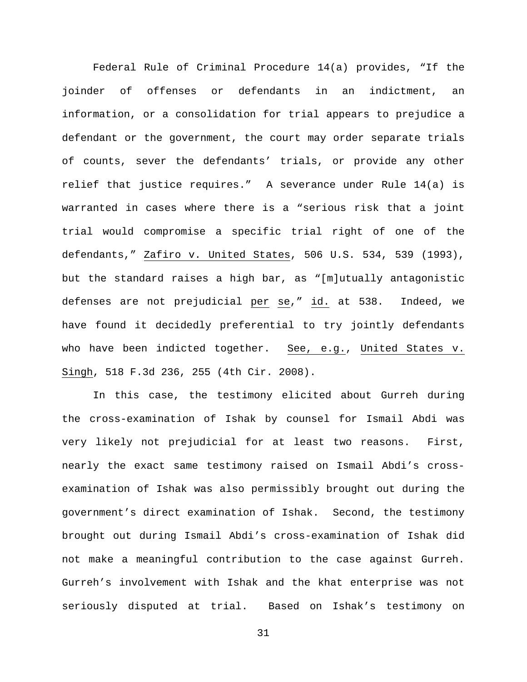Federal Rule of Criminal Procedure 14(a) provides, "If the joinder of offenses or defendants in an indictment, an information, or a consolidation for trial appears to prejudice a defendant or the government, the court may order separate trials of counts, sever the defendants' trials, or provide any other relief that justice requires." A severance under Rule 14(a) is warranted in cases where there is a "serious risk that a joint trial would compromise a specific trial right of one of the defendants," Zafiro v. United States, 506 U.S. 534, 539 (1993), but the standard raises a high bar, as "[m]utually antagonistic defenses are not prejudicial per se," id. at 538. Indeed, we have found it decidedly preferential to try jointly defendants who have been indicted together. See, e.g., United States v. Singh, 518 F.3d 236, 255 (4th Cir. 2008).

In this case, the testimony elicited about Gurreh during the cross-examination of Ishak by counsel for Ismail Abdi was very likely not prejudicial for at least two reasons. First, nearly the exact same testimony raised on Ismail Abdi's crossexamination of Ishak was also permissibly brought out during the government's direct examination of Ishak. Second, the testimony brought out during Ismail Abdi's cross-examination of Ishak did not make a meaningful contribution to the case against Gurreh. Gurreh's involvement with Ishak and the khat enterprise was not seriously disputed at trial. Based on Ishak's testimony on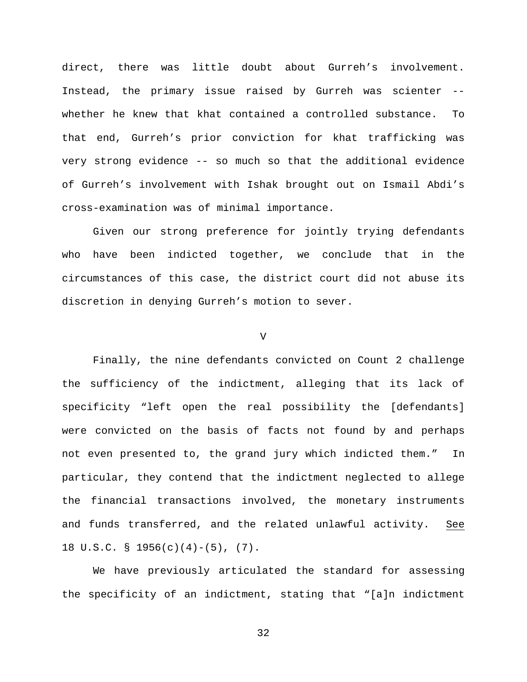direct, there was little doubt about Gurreh's involvement. Instead, the primary issue raised by Gurreh was scienter - whether he knew that khat contained a controlled substance. To that end, Gurreh's prior conviction for khat trafficking was very strong evidence -- so much so that the additional evidence of Gurreh's involvement with Ishak brought out on Ismail Abdi's cross-examination was of minimal importance.

Given our strong preference for jointly trying defendants who have been indicted together, we conclude that in the circumstances of this case, the district court did not abuse its discretion in denying Gurreh's motion to sever.

#### V

Finally, the nine defendants convicted on Count 2 challenge the sufficiency of the indictment, alleging that its lack of specificity "left open the real possibility the [defendants] were convicted on the basis of facts not found by and perhaps not even presented to, the grand jury which indicted them." In particular, they contend that the indictment neglected to allege the financial transactions involved, the monetary instruments and funds transferred, and the related unlawful activity. See 18 U.S.C. § 1956(c)(4)-(5), (7).

We have previously articulated the standard for assessing the specificity of an indictment, stating that "[a]n indictment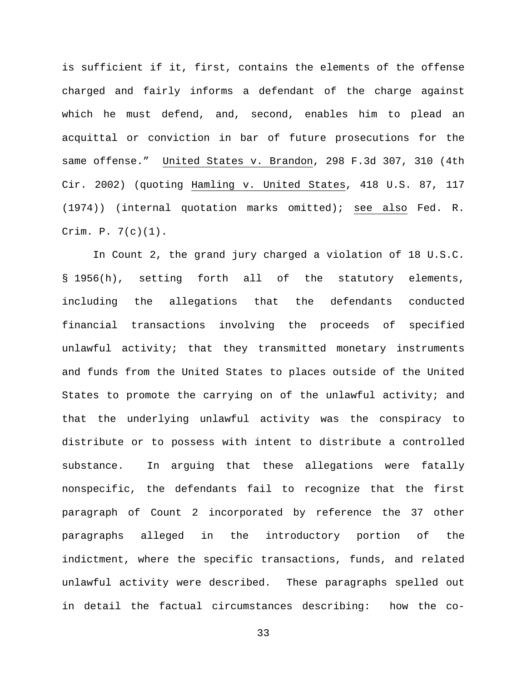is sufficient if it, first, contains the elements of the offense charged and fairly informs a defendant of the charge against which he must defend, and, second, enables him to plead an acquittal or conviction in bar of future prosecutions for the same offense." United States v. Brandon, 298 F.3d 307, 310 (4th Cir. 2002) (quoting Hamling v. United States, 418 U.S. 87, 117 (1974)) (internal quotation marks omitted); see also Fed. R. Crim. P. 7(c)(1).

In Count 2, the grand jury charged a violation of 18 U.S.C. § 1956(h), setting forth all of the statutory elements, including the allegations that the defendants conducted financial transactions involving the proceeds of specified unlawful activity; that they transmitted monetary instruments and funds from the United States to places outside of the United States to promote the carrying on of the unlawful activity; and that the underlying unlawful activity was the conspiracy to distribute or to possess with intent to distribute a controlled substance. In arguing that these allegations were fatally nonspecific, the defendants fail to recognize that the first paragraph of Count 2 incorporated by reference the 37 other paragraphs alleged in the introductory portion of the indictment, where the specific transactions, funds, and related unlawful activity were described. These paragraphs spelled out in detail the factual circumstances describing: how the co-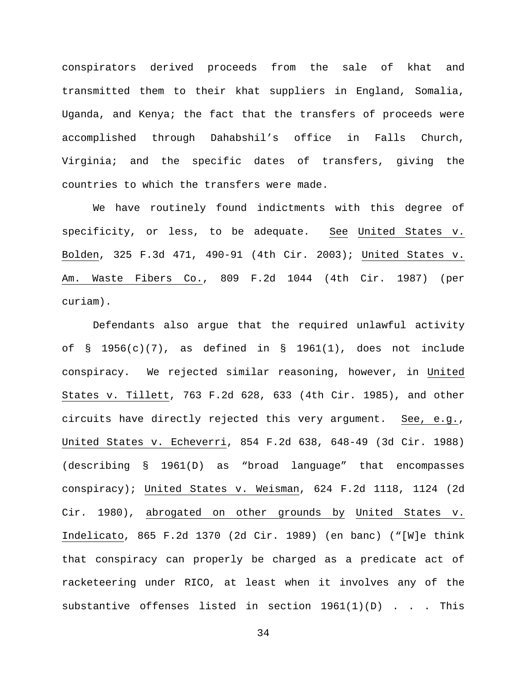conspirators derived proceeds from the sale of khat and transmitted them to their khat suppliers in England, Somalia, Uganda, and Kenya; the fact that the transfers of proceeds were accomplished through Dahabshil's office in Falls Church, Virginia; and the specific dates of transfers, giving the countries to which the transfers were made.

We have routinely found indictments with this degree of specificity, or less, to be adequate. See United States v. Bolden, 325 F.3d 471, 490-91 (4th Cir. 2003); United States v. Am. Waste Fibers Co., 809 F.2d 1044 (4th Cir. 1987) (per curiam).

Defendants also argue that the required unlawful activity of  $\S$  1956(c)(7), as defined in  $\S$  1961(1), does not include conspiracy. We rejected similar reasoning, however, in United States v. Tillett, 763 F.2d 628, 633 (4th Cir. 1985), and other circuits have directly rejected this very argument. See, e.g., United States v. Echeverri, 854 F.2d 638, 648-49 (3d Cir. 1988) (describing § 1961(D) as "broad language" that encompasses conspiracy); United States v. Weisman, 624 F.2d 1118, 1124 (2d Cir. 1980), abrogated on other grounds by United States v. Indelicato, 865 F.2d 1370 (2d Cir. 1989) (en banc) ("[W]e think that conspiracy can properly be charged as a predicate act of racketeering under RICO, at least when it involves any of the substantive offenses listed in section 1961(1)(D) . . . This